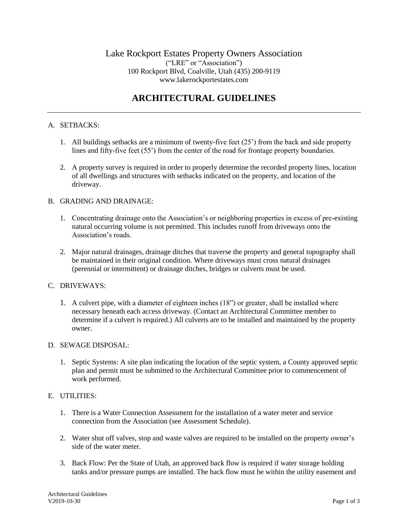# **ARCHITECTURAL GUIDELINES**

### A. SETBACKS:

- 1. All buildings setbacks are a minimum of twenty-five feet (25') from the back and side property lines and fifty-five feet (55') from the center of the road for frontage property boundaries.
- 2. A property survey is required in order to properly determine the recorded property lines, location of all dwellings and structures with setbacks indicated on the property, and location of the driveway.

#### B. GRADING AND DRAINAGE:

- 1. Concentrating drainage onto the Association's or neighboring properties in excess of pre-existing natural occurring volume is not permitted. This includes runoff from driveways onto the Association's roads.
- 2. Major natural drainages, drainage ditches that traverse the property and general topography shall be maintained in their original condition. Where driveways must cross natural drainages (perennial or intermittent) or drainage ditches, bridges or culverts must be used.

#### C. DRIVEWAYS:

1. A culvert pipe, with a diameter of eighteen inches (18") or greater, shall be installed where necessary beneath each access driveway. (Contact an Architectural Committee member to determine if a culvert is required.) All culverts are to be installed and maintained by the property owner.

#### D. SEWAGE DISPOSAL:

1. Septic Systems: A site plan indicating the location of the septic system, a County approved septic plan and permit must be submitted to the Architectural Committee prior to commencement of work performed.

#### E. UTILITIES:

- 1. There is a Water Connection Assessment for the installation of a water meter and service connection from the Association (see Assessment Schedule).
- 2. Water shut off valves, stop and waste valves are required to be installed on the property owner's side of the water meter.
- 3. Back Flow: Per the State of Utah, an approved back flow is required if water storage holding tanks and/or pressure pumps are installed. The back flow must be within the utility easement and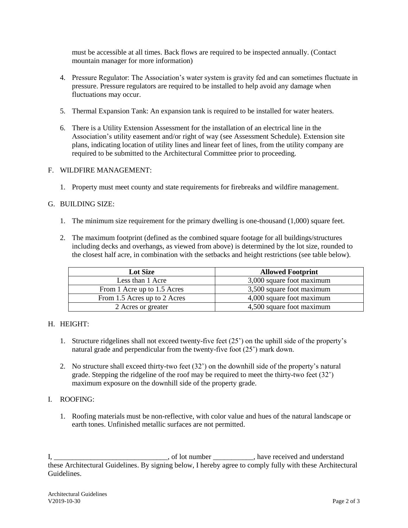must be accessible at all times. Back flows are required to be inspected annually. (Contact mountain manager for more information)

- 4. Pressure Regulator: The Association's water system is gravity fed and can sometimes fluctuate in pressure. Pressure regulators are required to be installed to help avoid any damage when fluctuations may occur.
- 5. Thermal Expansion Tank: An expansion tank is required to be installed for water heaters.
- 6. There is a Utility Extension Assessment for the installation of an electrical line in the Association's utility easement and/or right of way (see Assessment Schedule). Extension site plans, indicating location of utility lines and linear feet of lines, from the utility company are required to be submitted to the Architectural Committee prior to proceeding.

### F. WILDFIRE MANAGEMENT:

1. Property must meet county and state requirements for firebreaks and wildfire management.

### G. BUILDING SIZE:

- 1. The minimum size requirement for the primary dwelling is one-thousand (1,000) square feet.
- 2. The maximum footprint (defined as the combined square footage for all buildings/structures including decks and overhangs, as viewed from above) is determined by the lot size, rounded to the closest half acre, in combination with the setbacks and height restrictions (see table below).

| <b>Lot Size</b>              | <b>Allowed Footprint</b>  |
|------------------------------|---------------------------|
| Less than 1 Acre             | 3,000 square foot maximum |
| From 1 Acre up to 1.5 Acres  | 3,500 square foot maximum |
| From 1.5 Acres up to 2 Acres | 4,000 square foot maximum |
| 2 Acres or greater           | 4,500 square foot maximum |

## H. HEIGHT:

- 1. Structure ridgelines shall not exceed twenty-five feet (25') on the uphill side of the property's natural grade and perpendicular from the twenty-five foot (25') mark down.
- 2. No structure shall exceed thirty-two feet (32') on the downhill side of the property's natural grade. Stepping the ridgeline of the roof may be required to meet the thirty-two feet (32') maximum exposure on the downhill side of the property grade.

#### I. ROOFING:

1. Roofing materials must be non-reflective, with color value and hues of the natural landscape or earth tones. Unfinished metallic surfaces are not permitted.

I, \_\_\_\_\_\_\_\_\_\_\_\_\_\_\_\_\_\_\_\_\_\_\_, of lot number \_\_\_\_\_\_\_\_, have received and understand these Architectural Guidelines. By signing below, I hereby agree to comply fully with these Architectural Guidelines.